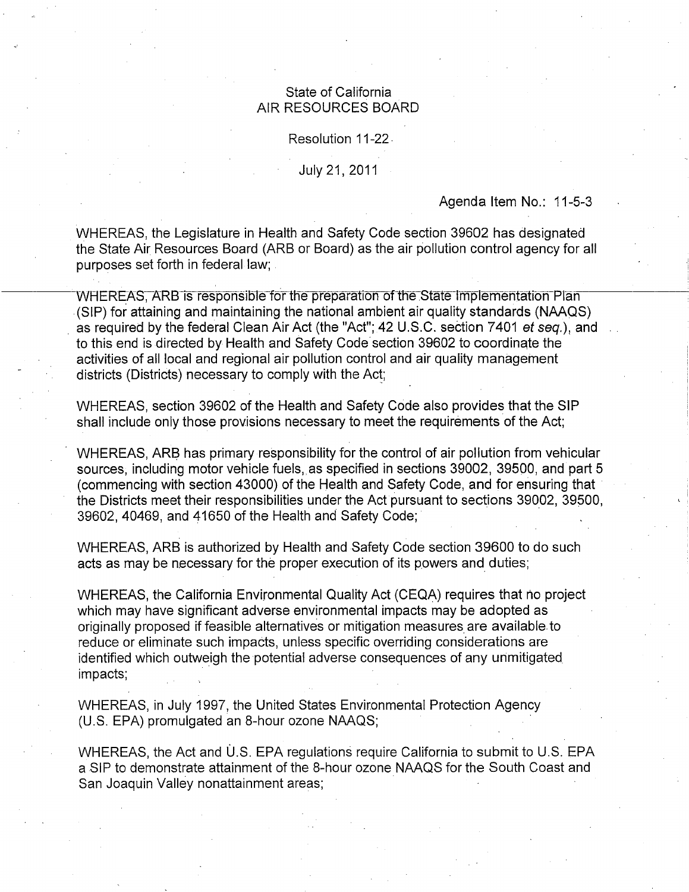### State of California AIR RESOURCES BOARD

#### Resolution 11-22.

#### July 21, 2011

### Agenda Item No.: 11-5-3

WHEREAS, the Legislature in Health and Safety Code section 39602 has designated the State Air Resources Board (ARB or Board) as the air pollution control agency for all purposes set forth in federal law;

WHEREAS, ARB is responsible for the preparation of the State Implementation Plan (SIP) for attaining and maintaining the national ambient air quality standards (NAAQS) as required by the federal Clean Air Act (the "Act"; 42 U.S.C. section 7401 et seq.), and to this end is directed by Health and Safety Code section 39602 to coordinate the activities of all local and regional air pollution control and air quality management districts (Districts) necessary to comply with the Act;

WHEREAS, section 39602 of the Health and Safety Code also provides that the SIP shall include only those provisions necessary to meet the requirements of the Act;

WHEREAS, ARB has primary responsibility for the control of air pollution from vehicular sources, including motor vehicle fuels, as specified in sections 39002, 39500, and part 5 (commencing with section 43000) of the Health and Safety Code, and for ensuring that the Districts meet their responsibilities under the Act pursuant to sections 39002, 39500, 39602, 40469, and 41650 of the Health and Safety Code;

WHEREAS, ARB is authorized by Health and Safety Code section 39600 to do such acts as may be necessary for the proper execution of its powers and duties;

WHEREAS, the California Environmental Quality Act (CEQA) requires that no project which may have significant adverse environmental impacts may be adopted as originally proposed if feasible alternatives or mitigation measures are available to reduce or eliminate such impacts, unless specific overriding considerations are dentified which outweigh the potential adverse consequences of any unmitigated impacts;

WHEREAS, in July 1997, the United States Environmental Protection Agency (U.S. EPA) promulgated an 8-hour ozone NAAQS;

WHEREAS, the Act and U.S. EPA regulations require California to submit to U.S. EPA a SIP to demonstrate attainment of the 8-hour ozone NAAQS for the South Coast and San Joaquin Valley nonattainment areas;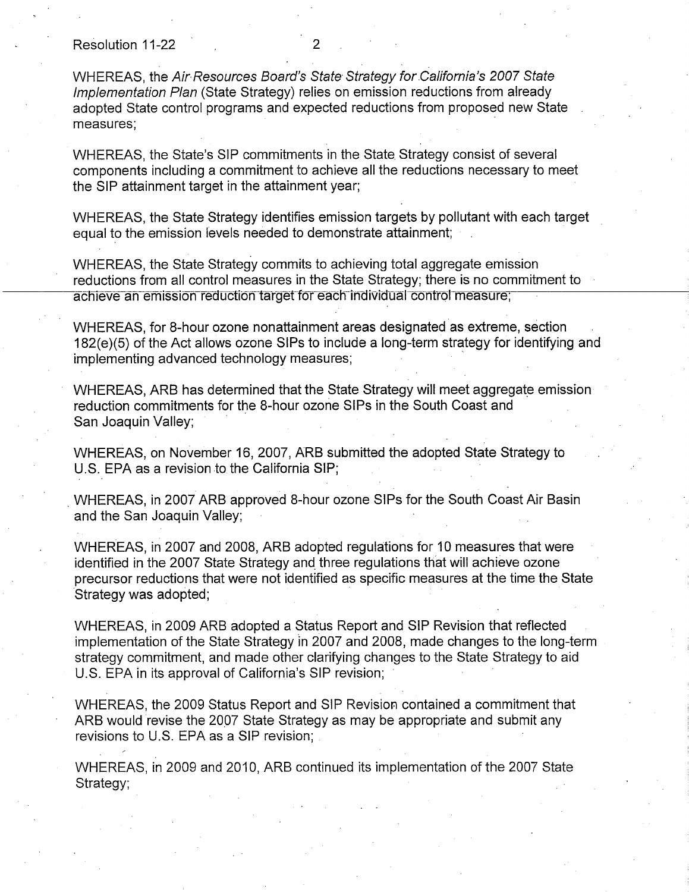Resolution 11-22

WHEREAS, the Air Resources Board's State Strategy for California's 2007 State Implementation Plan (State Strategy) relies on emission reductions from already adopted State control programs and expected reductions from proposed new State measures;

WHEREAS, the State's SIP commitments in the State Strategy consist of several components including a commitment to achieve all the reductions necessary to meet the SIP attainment target in the attainment year;

WHEREAS, the State Strategy identifies emission targets by pollutant with each target equal to the emission levels needed to demonstrate attainment;

WHEREAS, the State Strategy commits to achieving total aggregate emission reductions from all control measures in the State Strategy; there is no commitment to achieve an emission reduction target for each individual control measure,

WHEREAS, for 8-hour ozone nonattainment areas designated as extreme, section 182(e)(5) of the Act allows ozone SIPs to include a long-term strategy for identifying and implementing advanced technology measures;

WHEREAS, ARB has determined that the State Strategy will meet aggregate emission reduction commitments for the 8-hour ozone SIPs in the South Coast and San Joaquin Valley;

WHEREAS, on November 16, 2007, ARB submitted the adopted State Strategy to U.S. EPA as a revision to the California SIP;

WHEREAS, in 2007 ARB approved 8-hour ozone SIPs for the South Coast Air Basin and the San Joaquin Valley;

WHEREAS, in 2007 and 2008, ARB adopted regulations for 10 measures that were identified in the 2007 State Strategy and three regulations that will achieve ozone precursor reductions that were not identified as specific measures at the time the State Strategy was adopted;

WHEREAS, in 2009 ARB adopted a Status Report and SIP Revision that reflected implementation of the State Strategy in 2007 and 2008, made changes to the long-term strategy commitment, and made other clarifying changes to the State Strategy to aid U.S. EPA in its approval of California's SIP revision;

WHEREAS, the 2009 Status Report and SIP Revision contained a commitment that ARB would revise the 2007 State Strategy as may be appropriate and submit any revisions to U.S. EPA as a SIP revision;

WHEREAS, in 2009 and 2010, ARB continued its implementation of the 2007 State Strategy;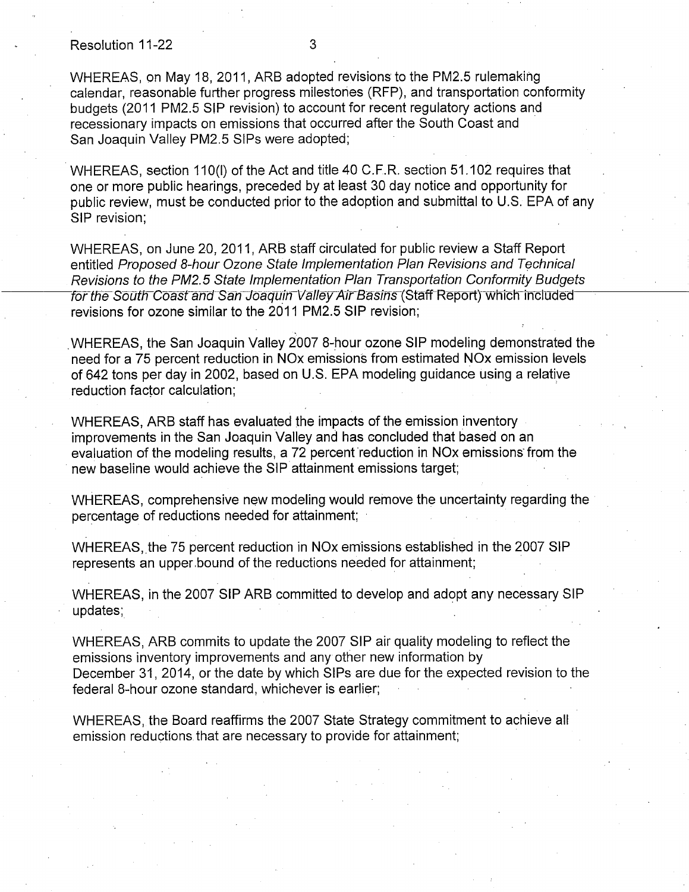#### Resolution 11-22 3

WHEREAS, on May 18, 2011, ARB adopted revisions to the PM2.5 rulemaking calendar, reasonable further progress milestones (RFP), and transportation conformity budgets (2011 PM2.5 SIP revision) to account for recent regulatory actions and recessionary impacts on emissions that occurred after the South Coast and San Joaquin Valley PM2.5 SIPs were adopted;

WHEREAS, section 110(1) of the Act and title 40 C.F.R. section 51. 102 requires that one or more public hearings, preceded by at least 30 day notice and opportunity for public review, must be conducted prior to the adoption and submittal to U.S. EPA of any SIP revision;

WHEREAS, on June 20, 2011, ARB staff circulated for public review a Staff Report entitled Proposed 8-hour Ozone State Implementation Plan Revisions and Technical Revisions to the PM2.5 State Implementation Plan Transportation Conformity Budgets for the South Coast and San Joaquin Valley Air Basins (Staff Report) which included revisions for ozone similar to the 2011 PM2.5 SIP revision;

WHEREAS, the San Joaquin Valley 2007 8-hour ozone SIP modeling demonstrated the need for a 75 percent reduction in NOx emissions from estimated NOx emission levels of 642 tons per day in 2002, based on U.S. EPA modeling guidance using a relative reduction factor calculation;

WHEREAS, ARB staff has evaluated the impacts of the emission inventory improvements in the San Joaquin Valley and has concluded that based on an evaluation of the modeling results, a 72 percent reduction in NOx emissions from the new baseline would achieve the SIP attainment emissions target;

WHEREAS, comprehensive new modeling would remove the uncertainty regarding the percentage of reductions needed for attainment;

WHEREAS, the 75 percent reduction in NOx emissions established in the 2007 SIP represents an upper bound of the reductions needed for attainment;

WHEREAS, in the 2007 SIP ARB committed to develop and adopt any necessary SIP updates;

WHEREAS, ARB commits to update the 2007 SIP air quality modeling to reflect the emissions inventory improvements and any other new information by December 31, 2014, or the date by which SIPs are due for the expected revision to the federal 8-hour ozone standard, whichever is earlier;

WHEREAS, the Board reaffirms the 2007 State Strategy commitment to achieve all emission reductions that are necessary to provide for attainment;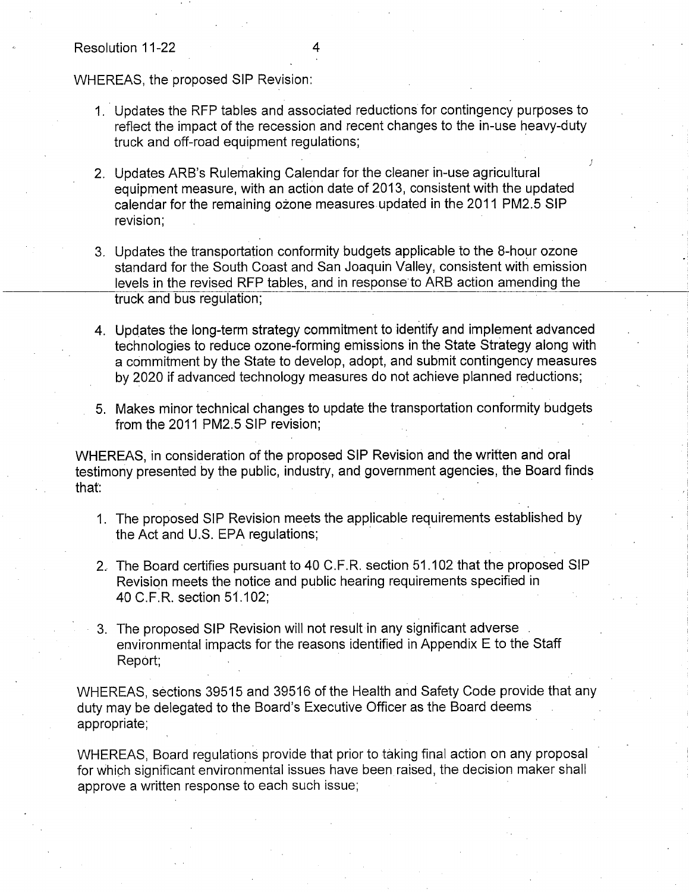WHEREAS, the proposed SIP Revision:

- 1. Updates the RFP tables and associated reductions for contingency purposes to reflect the impact of the recession and recent changes to the in-use heavy-duty truck and off-road equipment regulations;
- 2. Updates ARB's Rulemaking Calendar for the cleaner in-use agricultural equipment measure, with an action date of 2013, consistent with the updated calendar for the remaining ozone measures updated in the 2011 PM2.5 SIP revision;
- 3. Updates the transportation conformity budgets applicable to the 8-hour ozone standard for the South Coast and San Joaquin Valley, consistent with emission levels in the revised RFP tables, and in response to ARB action amending the truck and bus regulation;
- 4. Updates the long-term strategy commitment to identify and implement advanced technologies to reduce ozone-forming emissions in the State Strategy along with a commitment by the State to develop, adopt, and submit contingency measures by 2020 if advanced technology measures do not achieve planned reductions;
- 5. Makes minor technical changes to update the transportation conformity budgets from the 2011 PM2.5 SIP revision;

WHEREAS, in consideration of the proposed SIP Revision and the written and oral testimony presented by the public, industry, and government agencies, the Board finds that:

- 1. The proposed SIP Revision meets the applicable requirements established by the Act and U.S. EPA regulations;
- 2. The Board certifies pursuant to 40 C.F.R. section 51.102 that the proposed SIP Revision meets the notice and public hearing requirements specified in 40 C.F.R. section 51.102;
- 3. The proposed SIP Revision will not result in any significant adverse environmental impacts for the reasons identified in Appendix E to the Staff Report;

WHEREAS, sections 39515 and 39516 of the Health and Safety Code provide that any duty may be delegated to the Board's Executive Officer as the Board deems appropriate;

WHEREAS, Board regulations provide that prior to taking final action on any proposal for which significant environmental issues have been raised, the decision maker shall approve a written response to each such issue;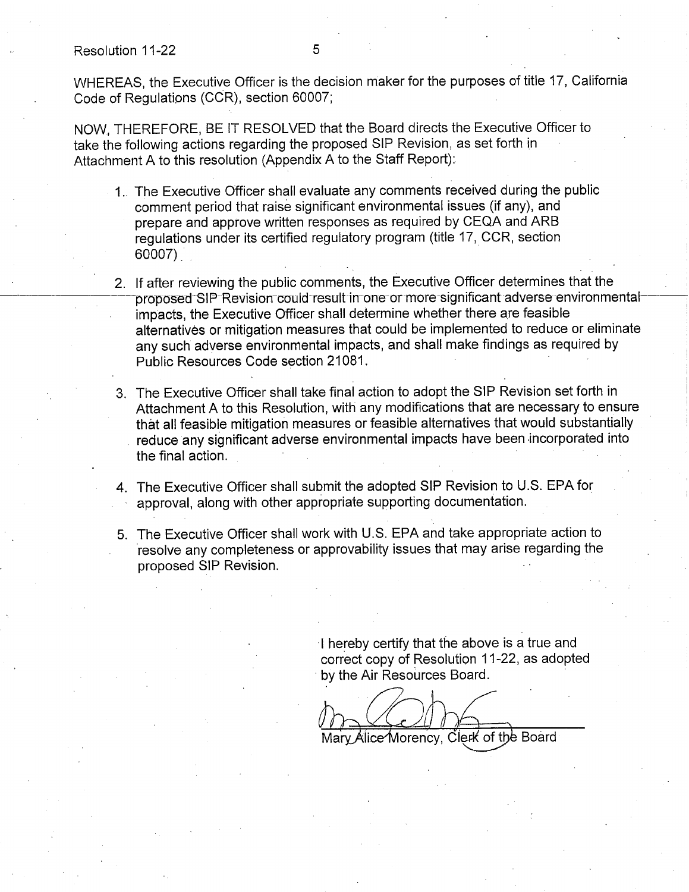Resolution 11-22 5

WHEREAS, the Executive Officer is the decision maker for the purposes of title 17, California Code of Regulations (CCR), section 60007;

NOW, THEREFORE, BE IT RESOLVED that the Board directs the Executive Officer to take the following actions regarding the proposed SIP Revision, as set forth in Attachment A to this resolution (Appendix A to the Staff Report):

- 1.. The Executive Officer shall evaluate any comments received during the public comment period that raise significant environmental issues (if any), and prepare and approve written responses as required by CEQA and ARB regulations under its certified regulatory program (title 17, CCR, section 60007).
- 2. If after reviewing the public comments, the Executive Officer determines that the proposed SIP Revision could result in one or more significant adverse environmental impacts, the Executive Officer shall determine whether there are feasible alternatives or mitigation measures that could be implemented to reduce or eliminate any such adverse environmental impacts, and shall make findings as required by Public Resources Code section 21081.
- 3. The Executive Officer shall take final action to adopt the SIP Revision set forth in Attachment A to this Resolution, with any modifications that are necessary to ensure that all feasible mitigation measures or feasible alternatives that would substantially reduce any significant adverse environmental impacts have been incorporated into the final action.
- 4. The Executive Officer shall submit the adopted SIP Revision to U.S. EPA for approval, along with other appropriate supporting documentation.
- 5. The Executive Officer shall work with U.S. EPA and take appropriate action to resolve any completeness or approvability issues that may arise regarding the proposed SIP Revision.

I hereby certify that the above is a true and correct copy of Resolution 11-22, as adopted by the Air Resources Board.

Mary Alice Morency, Clerk of the Board